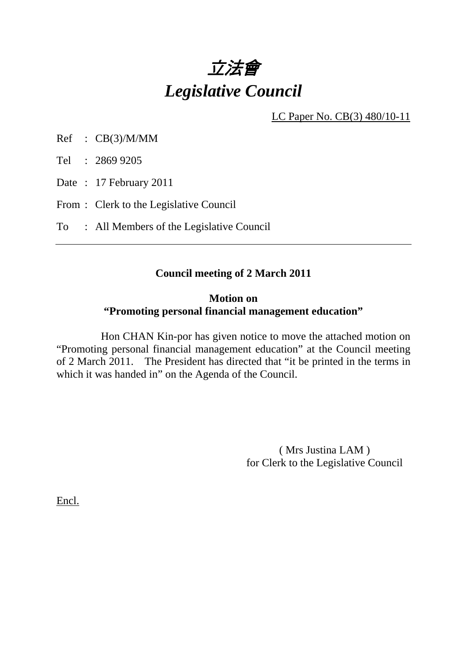

LC Paper No. CB(3) 480/10-11

Ref : CB(3)/M/MM

Tel : 2869 9205

Date: 17 February 2011

From : Clerk to the Legislative Council

To : All Members of the Legislative Council

#### **Council meeting of 2 March 2011**

#### **Motion on "Promoting personal financial management education"**

 Hon CHAN Kin-por has given notice to move the attached motion on "Promoting personal financial management education" at the Council meeting of 2 March 2011. The President has directed that "it be printed in the terms in which it was handed in" on the Agenda of the Council.

> ( Mrs Justina LAM ) for Clerk to the Legislative Council

Encl.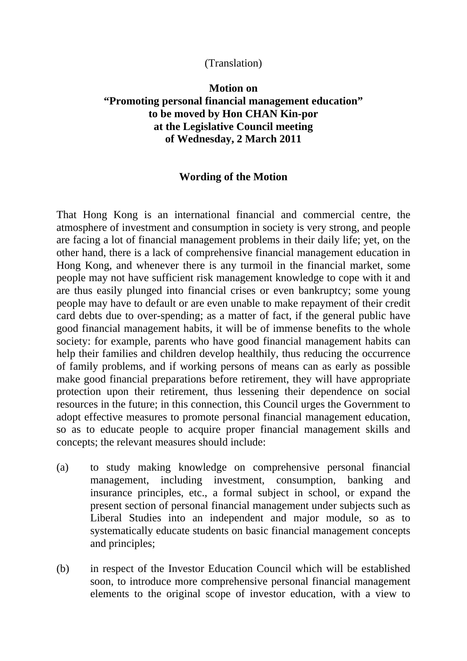## (Translation)

# **Motion on "Promoting personal financial management education" to be moved by Hon CHAN Kin-por at the Legislative Council meeting of Wednesday, 2 March 2011**

## **Wording of the Motion**

That Hong Kong is an international financial and commercial centre, the atmosphere of investment and consumption in society is very strong, and people are facing a lot of financial management problems in their daily life; yet, on the other hand, there is a lack of comprehensive financial management education in Hong Kong, and whenever there is any turmoil in the financial market, some people may not have sufficient risk management knowledge to cope with it and are thus easily plunged into financial crises or even bankruptcy; some young people may have to default or are even unable to make repayment of their credit card debts due to over-spending; as a matter of fact, if the general public have good financial management habits, it will be of immense benefits to the whole society: for example, parents who have good financial management habits can help their families and children develop healthily, thus reducing the occurrence of family problems, and if working persons of means can as early as possible make good financial preparations before retirement, they will have appropriate protection upon their retirement, thus lessening their dependence on social resources in the future; in this connection, this Council urges the Government to adopt effective measures to promote personal financial management education, so as to educate people to acquire proper financial management skills and concepts; the relevant measures should include:

- (a) to study making knowledge on comprehensive personal financial management, including investment, consumption, banking and insurance principles, etc., a formal subject in school, or expand the present section of personal financial management under subjects such as Liberal Studies into an independent and major module, so as to systematically educate students on basic financial management concepts and principles;
- (b) in respect of the Investor Education Council which will be established soon, to introduce more comprehensive personal financial management elements to the original scope of investor education, with a view to